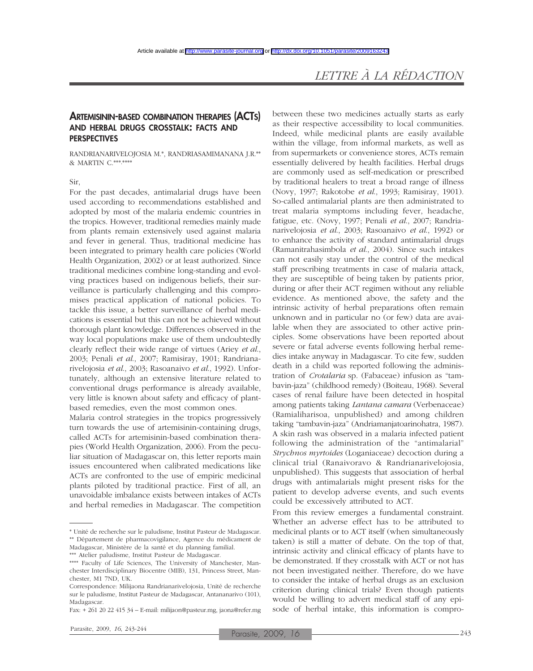# *LETTRE À LA RÉDACTION*

### ARTEMISININ-BASED COMBINATION THERAPIES (ACTS) AND HERBAL DRUGS CROSSTALK: FACTS AND **PERSPECTIVES**

RANDRIANARIVELOJOSIA M.\*, RANDRIASAMIMANANA J.R.\*\* & MARTIN C.\*\*\*, \*\*\*\*

#### Sir,

For the past decades, antimalarial drugs have been used according to recommendations established and adopted by most of the malaria endemic countries in the tropics. However, traditional remedies mainly made from plants remain extensively used against malaria and fever in general. Thus, traditional medicine has been integrated to primary health care policies (World Health Organization, 2002) or at least authorized. Since traditional medicines combine long-standing and evolving practices based on indigenous beliefs, their surveillance is particularly challenging and this compromises practical application of national policies. To tackle this issue, a better surveillance of herbal medications is essential but this can not be achieved without thorough plant knowledge. Differences observed in the way local populations make use of them undoubtedly clearly reflect their wide range of virtues (Ariey *et al*., 2003; Penali *et al*., 2007; Ramisiray, 1901; Randrianarivelojosia *et al*., 2003; Rasoanaivo *et al*., 1992). Unfortunately, although an extensive literature related to conventional drugs performance is already available, very little is known about safety and efficacy of plantbased remedies, even the most common ones.

Malaria control strategies in the tropics progressively turn towards the use of artemisinin-containing drugs, called ACTs for artemisinin-based combination therapies (World Health Organization, 2006). From the peculiar situation of Madagascar on, this letter reports main issues encountered when calibrated medications like ACTs are confronted to the use of empiric medicinal plants piloted by traditional practice. First of all, an unavoidable imbalance exists between intakes of ACTs and herbal remedies in Madagascar. The competition

between these two medicines actually starts as early as their respective accessibility to local communities. Indeed, while medicinal plants are easily available within the village, from informal markets, as well as from supermarkets or convenience stores, ACTs remain essentially delivered by health facilities. Herbal drugs are commonly used as self-medication or prescribed by traditional healers to treat a broad range of illness (Novy, 1997; Rakotobe *et al*., 1993; Ramisiray, 1901). So-called antimalarial plants are then administrated to treat malaria symptoms including fever, headache, fatigue, etc. (Novy, 1997; Penali *et al*., 2007; Randrianarivelojosia *et al*., 2003; Rasoanaivo *et al*., 1992) or to enhance the activity of standard antimalarial drugs (Ramanitrahasimbola *et al*., 2004). Since such intakes can not easily stay under the control of the medical staff prescribing treatments in case of malaria attack, they are susceptible of being taken by patients prior, during or after their ACT regimen without any reliable evidence. As mentioned above, the safety and the intrinsic activity of herbal preparations often remain unknown and in particular no (or few) data are available when they are associated to other active principles. Some observations have been reported about severe or fatal adverse events following herbal remedies intake anyway in Madagascar. To cite few, sudden death in a child was reported following the administration of *Crotalaria* sp. (Fabaceae) infusion as "tambavin-jaza" (childhood remedy) (Boiteau, 1968). Several cases of renal failure have been detected in hospital among patients taking *Lantana camara* (Verbenaceae) (Ramialiharisoa, unpublished) and among children taking "tambavin-jaza" (Andriamanjatoarinohatra, 1987). A skin rash was observed in a malaria infected patient following the administration of the "antimalarial" *Strychnos myrtoides* (Loganiaceae) decoction during a clinical trial (Ranaivoravo & Randrianarivelojosia, unpublished). This suggests that association of herbal drugs with antimalarials might present risks for the patient to develop adverse events, and such events could be excessively attributed to ACT.

From this review emerges a fundamental constraint. Whether an adverse effect has to be attributed to medicinal plants or to ACT itself (when simultaneously taken) is still a matter of debate. On the top of that, intrinsic activity and clinical efficacy of plants have to be demonstrated. If they crosstalk with ACT or not has not been investigated neither. Therefore, do we have to consider the intake of herbal drugs as an exclusion criterion during clinical trials? Even though patients would be willing to advert medical staff of any episode of herbal intake, this information is compro-

<sup>\*</sup> Unité de recherche sur le paludisme, Institut Pasteur de Madagascar. \*\* Département de pharmacovigilance, Agence du médicament de Madagascar, Ministère de la santé et du planning familial.

<sup>\*\*\*</sup> Atelier paludisme, Institut Pasteur de Madagascar.

<sup>\*\*\*\*</sup> Faculty of Life Sciences, The University of Manchester, Manchester Interdisciplinary Biocentre (MIB), 131, Princess Street, Manchester, M1 7ND, UK.

Correspondence: Milijaona Randrianarivelojosia, Unité de recherche sur le paludisme, Institut Pasteur de Madagascar, Antananarivo (101), Madagascar.

Fax: + 261 20 22 415 34 – E-mail: milijaon@pasteur.mg, jaona@refer.mg